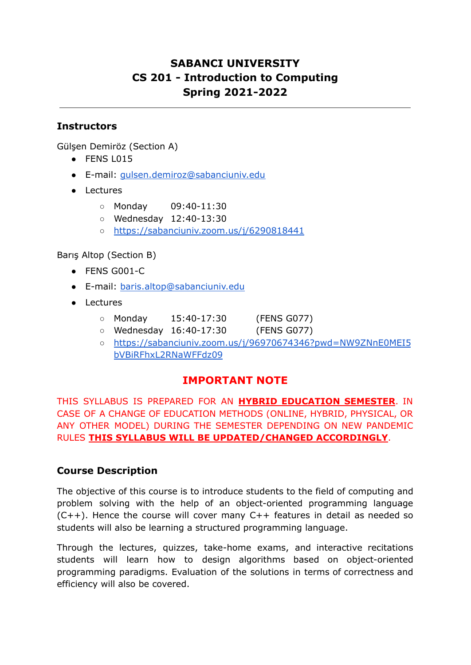# **SABANCI UNIVERSITY CS 201 - Introduction to Computing Spring 2021-2022**

## **Instructors**

Gülşen Demiröz (Section A)

- FENS L015
- E-mail: [gulsen.demiroz@sabanciuniv.edu](mailto:gulsen.demiroz@sabanciuniv.edu)
- Lectures
	- Monday 09:40-11:30
	- Wednesday 12:40-13:30
	- <https://sabanciuniv.zoom.us/j/6290818441>

Barış Altop (Section B)

- $\bullet$  FENS G001-C
- E-mail: [baris.altop@sabanciuniv.edu](mailto:baris.altop@sabanciuniv.edu)
- Lectures
	- Monday 15:40-17:30 (FENS G077)
	- Wednesday 16:40-17:30 (FENS G077)
	- [https://sabanciuniv.zoom.us/j/96970674346?pwd=NW9ZNnE0MEI5](https://sabanciuniv.zoom.us/j/96970674346?pwd=NW9ZNnE0MEI5bVBiRFhxL2RNaWFFdz09) [bVBiRFhxL2RNaWFFdz09](https://sabanciuniv.zoom.us/j/96970674346?pwd=NW9ZNnE0MEI5bVBiRFhxL2RNaWFFdz09)

## **IMPORTANT NOTE**

THIS SYLLABUS IS PREPARED FOR AN **HYBRID EDUCATION SEMESTER**. IN CASE OF A CHANGE OF EDUCATION METHODS (ONLINE, HYBRID, PHYSICAL, OR ANY OTHER MODEL) DURING THE SEMESTER DEPENDING ON NEW PANDEMIC RULES **THIS SYLLABUS WILL BE UPDATED/CHANGED ACCORDINGLY**.

#### **Course Description**

The objective of this course is to introduce students to the field of computing and problem solving with the help of an object-oriented programming language  $(C++)$ . Hence the course will cover many  $C++$  features in detail as needed so students will also be learning a structured programming language.

Through the lectures, quizzes, take-home exams, and interactive recitations students will learn how to design algorithms based on object-oriented programming paradigms. Evaluation of the solutions in terms of correctness and efficiency will also be covered.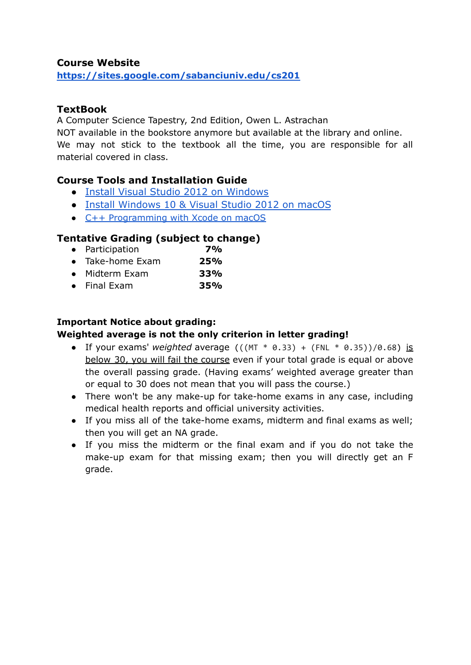#### **Course Website**

**<https://sites.google.com/sabanciuniv.edu/cs201>**

#### **TextBook**

A Computer Science Tapestry, 2nd Edition, Owen L. Astrachan

NOT available in the bookstore anymore but available at the library and online. We may not stick to the textbook all the time, you are responsible for all material covered in class.

#### **Course Tools and Installation Guide**

- [Install Visual Studio 2012 on Windows](https://www.youtube.com/watch?v=Wh-UB-Mjdb4)
- [Install Windows 10 & Visual Studio 2012 on macOS](https://www.youtube.com/watch?v=MRDVnW5w76M)
- C++ [Programming](https://www.youtube.com/watch?v=6g-t_p97hEQ) with Xcode on macOS

## **Tentative Grading (subject to change)**

- **●** Participation **7%**
- **●** Take-home Exam **25%**
- **●** Midterm Exam **33%**
- **●** Final Exam **35%**

#### **Important Notice about grading:**

#### **Weighted average is not the only criterion in letter grading!**

- If your exams' *weighted* average  $(((MT * 0.33) + (FNL * 0.35))/0.68)$  is below 30, you will fail the course even if your total grade is equal or above the overall passing grade. (Having exams' weighted average greater than or equal to 30 does not mean that you will pass the course.)
- There won't be any make-up for take-home exams in any case, including medical health reports and official university activities.
- If you miss all of the take-home exams, midterm and final exams as well; then you will get an NA grade.
- If you miss the midterm or the final exam and if you do not take the make-up exam for that missing exam; then you will directly get an F grade.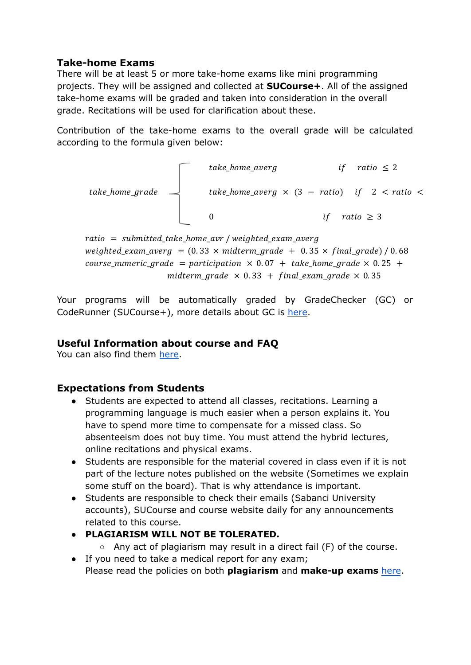### **Take-home Exams**

There will be at least 5 or more take-home exams like mini programming projects. They will be assigned and collected at **SUCourse+**. All of the assigned take-home exams will be graded and taken into consideration in the overall grade. Recitations will be used for clarification about these.

Contribution of the take-home exams to the overall grade will be calculated according to the formula given below:



ratio = submitted take home avr / weighted exam averg weighted\_exam\_averg =  $(0.33 \times miderm_grade + 0.35 \times final_grade) / 0.68$ course\_numeric\_grade = participation  $\times$  0.07 + take\_home\_grade  $\times$  0.25 + midterm\_grade  $\times$  0.33 + final\_exam\_grade  $\times$  0.35

Your programs will be automatically graded by GradeChecker (GC) or CodeRunner (SUCourse+), more details about GC is [here](https://docs.google.com/document/d/11zaaK0u44ksaJ1Yf5_L4P33G0GJrI0mwMIMrkg_X3Ts/edit?usp=sharing).

## **Useful Information about course and FAQ**

You can also find them [here](https://docs.google.com/document/d/11zaaK0u44ksaJ1Yf5_L4P33G0GJrI0mwMIMrkg_X3Ts/edit?usp=sharing).

## **Expectations from Students**

- Students are expected to attend all classes, recitations. Learning a programming language is much easier when a person explains it. You have to spend more time to compensate for a missed class. So absenteeism does not buy time. You must attend the hybrid lectures, online recitations and physical exams.
- Students are responsible for the material covered in class even if it is not part of the lecture notes published on the website (Sometimes we explain some stuff on the board). That is why attendance is important.
- Students are responsible to check their emails (Sabanci University accounts), SUCourse and course website daily for any announcements related to this course.
- **PLAGIARISM WILL NOT BE TOLERATED.**
	- Any act of plagiarism may result in a direct fail (F) of the course.
- If you need to take a medical report for any exam; Please read the policies on both **plagiarism** and **make-up exams** [here](https://docs.google.com/document/d/11zaaK0u44ksaJ1Yf5_L4P33G0GJrI0mwMIMrkg_X3Ts/edit?usp=sharing).